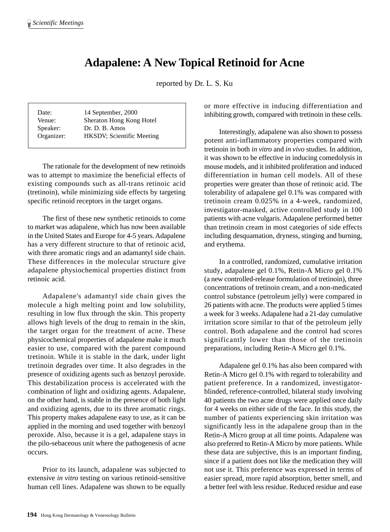## **Adapalene: A New Topical Retinoid for Acne**

reported by Dr. L. S. Ku

| Date:                  | 14 September, 2000                         |
|------------------------|--------------------------------------------|
| Venue:                 | Sheraton Hong Kong Hotel<br>Dr. D. B. Amos |
| Speaker:<br>Organizer: | <b>HKSDV</b> ; Scientific Meeting          |
|                        |                                            |

The rationale for the development of new retinoids was to attempt to maximize the beneficial effects of existing compounds such as all-trans retinoic acid (tretinoin), while minimizing side effects by targeting specific retinoid receptors in the target organs.

The first of these new synthetic retinoids to come to market was adapalene, which has now been available in the United States and Europe for 4-5 years. Adapalene has a very different structure to that of retinoic acid, with three aromatic rings and an adamantyl side chain. These differences in the molecular structure give adapalene physiochemical properties distinct from retinoic acid.

Adapalene's adamantyl side chain gives the molecule a high melting point and low solubility, resulting in low flux through the skin. This property allows high levels of the drug to remain in the skin, the target organ for the treatment of acne. These physicochemical properties of adapalene make it much easier to use, compared with the parent compound tretinoin. While it is stable in the dark, under light tretinoin degrades over time. It also degrades in the presence of oxidizing agents such as benzoyl peroxide. This destabilization process is accelerated with the combination of light and oxidizing agents. Adapalene, on the other hand, is stable in the presence of both light and oxidizing agents, due to its three aromatic rings. This property makes adapalene easy to use, as it can be applied in the morning and used together with benzoyl peroxide. Also, because it is a gel, adapalene stays in the pilo-sebaceous unit where the pathogenesis of acne occurs.

Prior to its launch, adapalene was subjected to extensive *in vitro* testing on various retinoid-sensitive human cell lines. Adapalene was shown to be equally or more effective in inducing differentiation and inhibiting growth, compared with tretinoin in these cells.

Interestingly, adapalene was also shown to possess potent anti-inflammatory properties compared with tretinoin in both *in vitro* and *in vivo* studies. In addition, it was shown to be effective in inducing comedolysis in mouse models, and it inhibited proliferation and induced differentiation in human cell models. All of these properties were greater than those of retinoic acid. The tolerability of adapalene gel 0.1% was compared with tretinoin cream 0.025% in a 4-week, randomized, investigator-masked, active controlled study in 100 patients with acne vulgaris. Adapalene performed better than tretinoin cream in most categories of side effects including desquamation, dryness, stinging and burning, and erythema.

In a controlled, randomized, cumulative irritation study, adapalene gel 0.1%, Retin-A Micro gel 0.1% (a new controlled-release formulation of tretinoin), three concentrations of tretinoin cream, and a non-medicated control substance (petroleum jelly) were compared in 26 patients with acne. The products were applied 5 times a week for 3 weeks. Adapalene had a 21-day cumulative irritation score similar to that of the petroleum jelly control. Both adapalene and the control had scores significantly lower than those of the tretinoin preparations, including Retin-A Micro gel 0.1%.

Adapalene gel 0.1% has also been compared with Retin-A Micro gel 0.1% with regard to tolerability and patient preference. In a randomized, investigatorblinded, reference-controlled, bilateral study involving 40 patients the two acne drugs were applied once daily for 4 weeks on either side of the face. In this study, the number of patients experiencing skin irritation was significantly less in the adapalene group than in the Retin-A Micro group at all time points. Adapalene was also preferred to Retin-A Micro by more patients. While these data are subjective, this is an important finding, since if a patient does not like the medication they will not use it. This preference was expressed in terms of easier spread, more rapid absorption, better smell, and a better feel with less residue. Reduced residue and ease